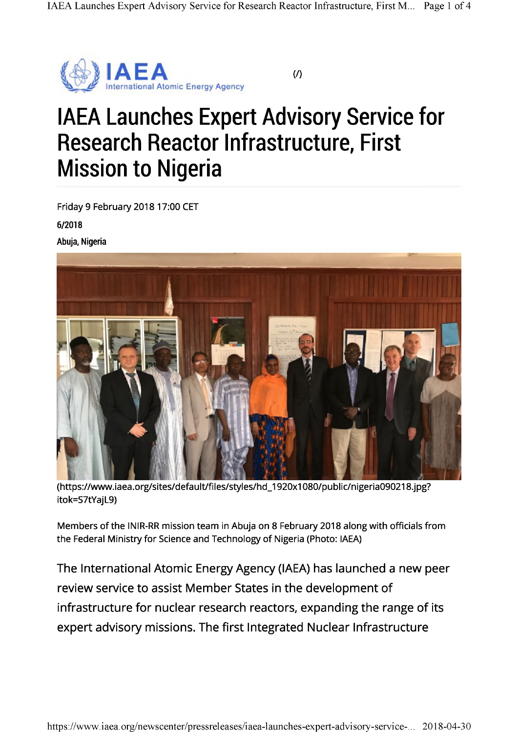

(/)

## IAEA Launches Expert Advisory Service for Research Reactor Infrastructure, First Mission to Nigeria

Friday 9 February 2018 17:00 CET

6/2018

Abuja, Nigeria



([https://www.iaea.org/sites/default/files/styles/hd\\_1920x1](https://www.iaea.org/sites/default/files/styles/hd_1920x1080/public/nigeria090218.jpg)080/public/nigeria090218.jpg? itok=S7tYajL9)

Members of the INIR-RR mission team in Abuja on 8 February 2018 along with officials from the Federal Ministry for Science and Technology of Nigeria (Photo: IAEA)

The International Atomic Energy Agency (IAEA) has launched a new peer review service to assist Member States in the development of infrastructure for nuclear research reactors, expanding the range of its expert advisory missions. The first Integrated Nuclear Infrastructure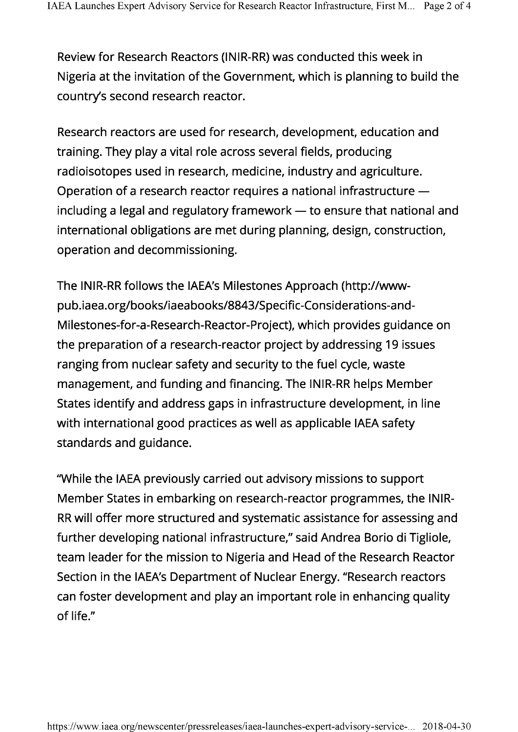Review for Research Reactors (INIR-RR) was conducted this week in Nigeria at the invitation of the Government, which is planning to build the country's second research reactor.

Research reactors are used for research, development, education and training. They play a vital role across several fields, producing radioisotopes used in research, medicine, industry and agriculture. Operation of a research reactor requires a national infrastructure including a legal and regulatory framework — to ensure that national and international obligations are met during planning, design, construction, operation and decommissioning.

The INIR-RR follows the IAEA's Milestones Approach ([http://www](http://www-pub.iaea.org/books/iaeabooks/8843/Specific-Considerations-and-Milestones-for-a-Research-Reactor-Project)[pub.iaea.org/books/iaeabooks/8843/Specific-Considerations-and-](http://www-pub.iaea.org/books/iaeabooks/8843/Specific-Considerations-and-Milestones-for-a-Research-Reactor-Project)[Milestones-for-a-Research-Reactor-Project](http://www-pub.iaea.org/books/iaeabooks/8843/Specific-Considerations-and-Milestones-for-a-Research-Reactor-Project)), which provides guidance on the preparation of a research-reactor project by addressing 19 issues ranging from nuclear safety and security to the fuel cycle, waste management, and funding and financing. The INIR-RR helps Member States identify and address gaps in infrastructure development, in line with international good practices as well as applicable IAEA safety standards and guidance.

"While the IAEA previously carried out advisory missions to support Member States in embarking on research-reactor programmes, the INIR-RR will offer more structured and systematic assistance for assessing and further developing national infrastructure," said Andrea Borio di Tigliole, team leader for the mission to Nigeria and Head of the Research Reactor Section in the IAEA's Department of Nuclear Energy. "Research reactors can foster development and play an important role in enhancing quality of life."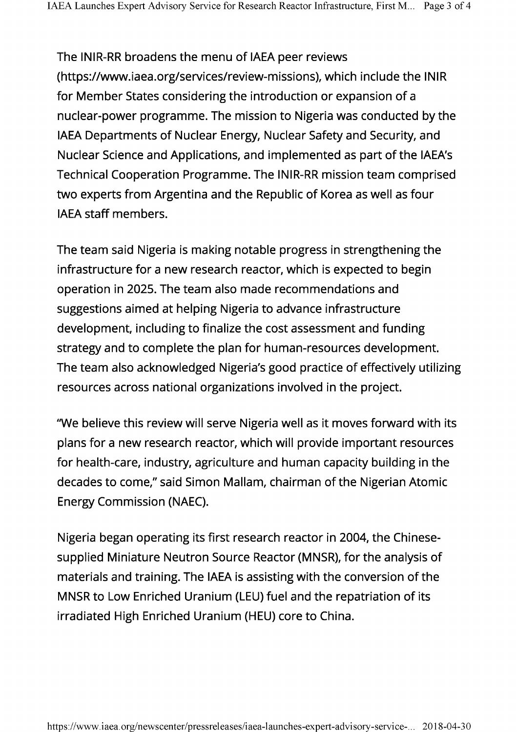The INIR-RR broadens the menu of IAEA peer reviews [\(https://www.iaea.org/services/review-missions](https://www.iaea.org/services/review-missions)), which include the INIR for Member States considering the introduction or expansion of a nuclear-power programme. The mission to Nigeria was conducted by the IAEA Departments of Nuclear Energy, Nuclear Safety and Security, and Nuclear Science and Applications, and implemented as part of the IAEA's Technical Cooperation Programme. The INIR-RR mission team comprised two experts from Argentina and the Republic of Korea as well as four IAEA staff members.

The team said Nigeria is making notable progress in strengthening the infrastructure for a new research reactor, which is expected to begin operation in 2025. The team also made recommendations and suggestions aimed at helping Nigeria to advance infrastructure development, including to finalize the cost assessment and funding strategy and to complete the plan for human-resources development. The team also acknowledged Nigeria's good practice of effectively utilizing resources across national organizations involved in the project.

"We believe this review will serve Nigeria well as it moves forward with its plans for a new research reactor, which will provide important resources for health-care, industry, agriculture and human capacity building in the decades to come," said Simon Mallam, chairman of the Nigerian Atomic Energy Commission (NAEC).

Nigeria began operating its first research reactor in 2004, the Chinesesupplied Miniature Neutron Source Reactor (MNSR), for the analysis of materials and training. The IAEA is assisting with the conversion of the MNSR to Low Enriched Uranium (LEU) fuel and the repatriation of its irradiated High Enriched Uranium (HEU) core to China.